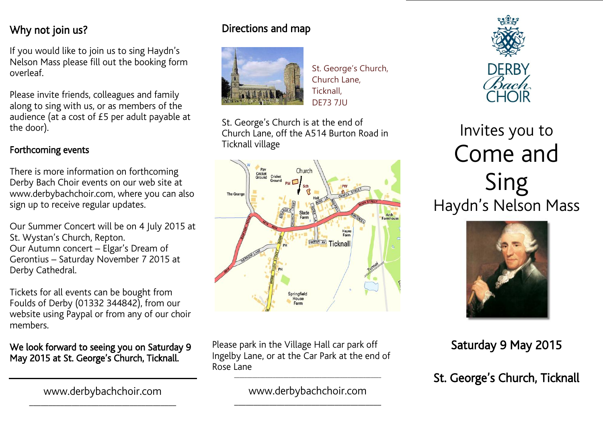### Why not join us? where  $\overline{a}$

If you would like to join us to sing Haydn's Nelson Mass please fill out the booking form overleaf.

Please invite friends, colleagues and family<br>along to sing with us, or as members of the audience (at a cost of  $£5$  per adult payable at the door). the door).

## Forthcoming events

 $\overline{a}$ 

There is more information on forthcoming Derby Bach Choir events on our web site at www.derbybachchoir.com, where you can also  $\frac{1}{2}$  sign up to receive regular updates.  $\begin{array}{ccc} \circ & \circ & \circ & \circ & \circ \end{array}$ 

Our Summer Concert will be on 4 July 2015 at St. Wystan's Church, Repton. Our Autumn concert - Elgar's Dream of Gerontius – Saturday November 7 2015 at Derby Cathedral. Derby Cathedral.

Tickets for all events can be bought from<br>Foulds of Derby (01332 344842), from our website using Paypal or from any of our choir members. members.

### We look forward to seeing you on Saturday 9<br>May 2015 at St. George's Church, Ticknall. May 2015 at St. George's Church, Ticknall.

\_\_\_\_\_\_\_\_\_\_\_\_\_\_\_\_\_\_\_\_\_\_\_\_\_\_\_\_\_\_\_\_\_\_\_\_\_\_

# Directions and map



St. George's Church, Church Lane, Ticknall, DE73 7JU

St. George's Church is at the end of<br>Church Lane, off the A514 Burton Road in Ticknall village





# Invites you to<br>Come and Sing s<br>Sinelso



### Saturday 9 May 2015

h St. George's Church, Ticknall

Please park in the Village Hall car park off<br>Ingelby Lane, or at the Car Park at the end of Rose Lane Rose Lane

\_\_\_\_\_\_\_\_\_\_\_\_\_\_\_\_\_\_\_\_\_\_\_\_\_\_\_\_\_\_\_\_\_\_\_\_\_\_\_\_\_\_\_\_\_\_\_\_\_\_\_\_\_\_\_\_\_ www.derbybachchoir.com

\_\_\_\_\_\_\_\_\_\_\_\_\_\_\_\_\_\_\_\_\_\_\_\_\_\_\_\_\_\_\_\_\_\_\_\_\_\_